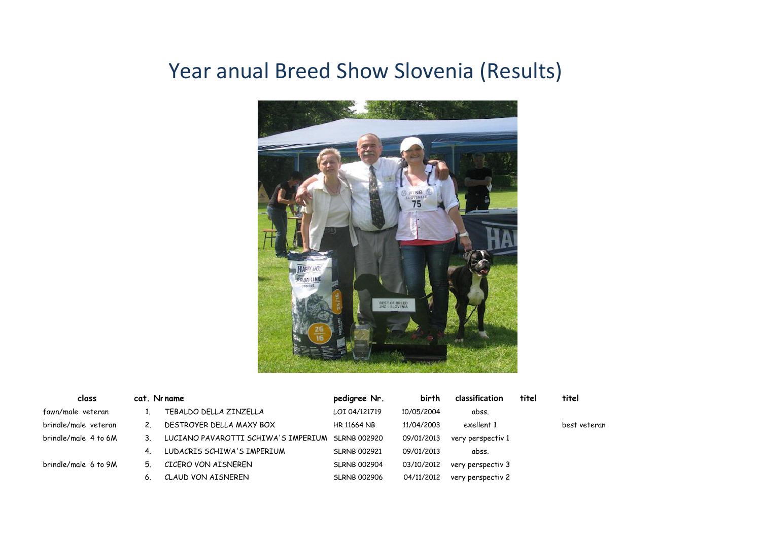## Year anual Breed Show Slovenia (Results)



| class                |         | cat. Nr name                                     | pedigree Nr.        | birth      | classification    | titel | titel        |
|----------------------|---------|--------------------------------------------------|---------------------|------------|-------------------|-------|--------------|
| fawn/male veteran    |         | TEBALDO DELLA ZINZELLA                           | LOI 04/121719       | 10/05/2004 | abss.             |       |              |
| brindle/male veteran | 2       | DESTROYER DELLA MAXY BOX                         | <b>HR 11664 NB</b>  | 11/04/2003 | exellent 1        |       | best veteran |
| brindle/male 4 to 6M | $3_{-}$ | LUCIANO PAVAROTTI SCHIWA'S IMPERIUM SLRNB 002920 |                     | 09/01/2013 | very perspectiv 1 |       |              |
|                      | 4.      | LUDACRIS SCHIWA'S IMPERIUM                       | <b>SLRNB 002921</b> | 09/01/2013 | abss.             |       |              |
| brindle/male 6 to 9M | 5.      | CICERO VON AISNEREN                              | <b>SLRNB 002904</b> | 03/10/2012 | very perspectiv 3 |       |              |
|                      | 6.      | CLAUD VON AISNEREN                               | <b>SLRNB 002906</b> | 04/11/2012 | very perspectiv 2 |       |              |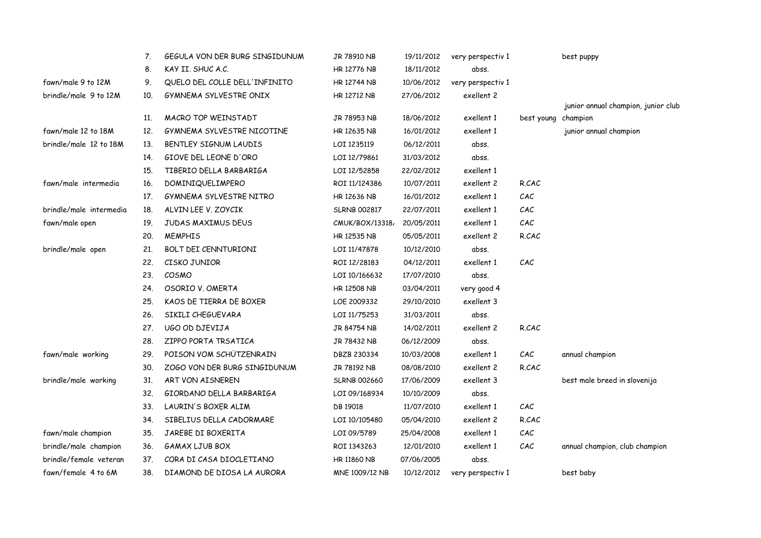|                         | 7.  | GEGULA VON DER BURG SINGIDUNUM | JR 78910 NB         | 19/11/2012 | very perspectiv 1 |                     | best puppy                          |
|-------------------------|-----|--------------------------------|---------------------|------------|-------------------|---------------------|-------------------------------------|
|                         | 8.  | KAY II. SHUC A.C.              | <b>HR 12776 NB</b>  | 18/11/2012 | abss.             |                     |                                     |
| fawn/male 9 to 12M      | 9.  | QUELO DEL COLLE DELL'INFINITO  | HR 12744 NB         | 10/06/2012 | very perspectiv 1 |                     |                                     |
| brindle/male 9 to 12M   | 10. | GYMNEMA SYLVESTRE ONIX         | HR 12712 NB         | 27/06/2012 | exellent 2        |                     |                                     |
|                         |     |                                |                     |            |                   |                     | junior annual champion, junior club |
|                         | 11. | MACRO TOP WEINSTADT            | JR 78953 NB         | 18/06/2012 | exellent 1        | best young champion |                                     |
| fawn/male 12 to 18M     | 12. | GYMNEMA SYLVESTRE NICOTINE     | HR 12635 NB         | 16/01/2012 | exellent 1        |                     | junior annual champion              |
| brindle/male 12 to 18M  | 13. | BENTLEY SIGNUM LAUDIS          | LOI 1235119         | 06/12/2011 | abss.             |                     |                                     |
|                         | 14. | GIOVE DEL LEONE D'ORO          | LOI 12/79861        | 31/03/2012 | abss.             |                     |                                     |
|                         | 15. | TIBERIO DELLA BARBARIGA        | LOI 12/52858        | 22/02/2012 | exellent 1        |                     |                                     |
| fawn/male intermedia    | 16. | DOMINIQUELIMPERO               | ROI 11/124386       | 10/07/2011 | exellent 2        | R.CAC               |                                     |
|                         | 17. | GYMNEMA SYLVESTRE NITRO        | HR 12636 NB         | 16/01/2012 | exellent 1        | CAC                 |                                     |
| brindle/male intermedia | 18. | ALVIN LEE V. ZOYCIK            | <b>SLRNB 002817</b> | 22/07/2011 | exellent 1        | CAC                 |                                     |
| fawn/male open          | 19. | JUDAS MAXIMUS DEUS             | CMUK/BOX/13318,     | 20/05/2011 | exellent 1        | CAC                 |                                     |
|                         | 20. | <b>MEMPHIS</b>                 | HR 12535 NB         | 05/05/2011 | exellent 2        | R.CAC               |                                     |
| brindle/male open       | 21. | BOLT DEI CENNTURIONI           | LOI 11/47878        | 10/12/2010 | abss.             |                     |                                     |
|                         | 22. | CISKO JUNIOR                   | ROI 12/28183        | 04/12/2011 | exellent 1        | CAC                 |                                     |
|                         | 23. | COSMO                          | LOI 10/166632       | 17/07/2010 | abss.             |                     |                                     |
|                         | 24. | OSORIO V. OMERTA               | HR 12508 NB         | 03/04/2011 | very good 4       |                     |                                     |
|                         | 25. | KAOS DE TIERRA DE BOXER        | LOE 2009332         | 29/10/2010 | exellent 3        |                     |                                     |
|                         | 26. | SIKILI CHEGUEVARA              | LOI 11/75253        | 31/03/2011 | abss.             |                     |                                     |
|                         | 27. | UGO OD DJEVIJA                 | JR 84754 NB         | 14/02/2011 | exellent 2        | R.CAC               |                                     |
|                         | 28. | ZIPPO PORTA TRSATICA           | JR 78432 NB         | 06/12/2009 | abss.             |                     |                                     |
| fawn/male working       | 29. | POISON VOM SCHÜTZENRAIN        | DBZB 230334         | 10/03/2008 | exellent 1        | CAC                 | annual champion                     |
|                         | 30. | ZOGO VON DER BURG SINGIDUNUM   | JR 78192 NB         | 08/08/2010 | exellent 2        | R.CAC               |                                     |
| brindle/male working    | 31. | ART VON AISNEREN               | <b>SLRNB 002660</b> | 17/06/2009 | exellent 3        |                     | best male breed in slovenija        |
|                         | 32. | GIORDANO DELLA BARBARIGA       | LOI 09/168934       | 10/10/2009 | abss.             |                     |                                     |
|                         | 33. | LAURIN'S BOXER ALIM            | DB 19018            | 11/07/2010 | exellent 1        | CAC                 |                                     |
|                         | 34. | SIBELIUS DELLA CADORMARE       | LOI 10/105480       | 05/04/2010 | exellent 2        | R.CAC               |                                     |
| fawn/male champion      | 35. | JAREBE DI BOXERITA             | LOI 09/5789         | 25/04/2008 | exellent 1        | CAC                 |                                     |
| brindle/male champion   | 36. | GAMAX LJUB BOX                 | ROI 1343263         | 12/01/2010 | exellent 1        | CAC                 | annual champion, club champion      |
| brindle/female veteran  | 37. | CORA DI CASA DIOCLETIANO       | <b>HR 11860 NB</b>  | 07/06/2005 | abss.             |                     |                                     |
| fawn/female 4 to 6M     | 38. | DIAMOND DE DIOSA LA AURORA     | MNE 1009/12 NB      | 10/12/2012 | very perspectiv 1 |                     | best baby                           |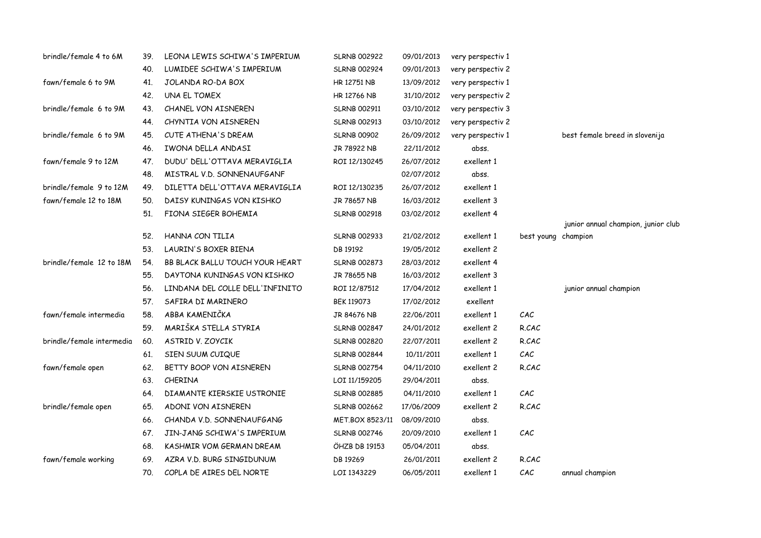| brindle/female 4 to 6M    | 39. | LEONA LEWIS SCHIWA'S IMPERIUM   | <b>SLRNB 002922</b> | 09/01/2013 | very perspectiv 1 |                     |                                     |
|---------------------------|-----|---------------------------------|---------------------|------------|-------------------|---------------------|-------------------------------------|
|                           | 40. | LUMIDEE SCHIWA'S IMPERIUM       | <b>SLRNB 002924</b> | 09/01/2013 | very perspectiv 2 |                     |                                     |
| fawn/female 6 to 9M       | 41. | JOLANDA RO-DA BOX               | HR 12751 NB         | 13/09/2012 | very perspectiv 1 |                     |                                     |
|                           | 42. | UNA EL TOMEX                    | <b>HR 12766 NB</b>  | 31/10/2012 | very perspectiv 2 |                     |                                     |
| brindle/female 6 to 9M    | 43. | CHANEL VON AISNEREN             | <b>SLRNB 002911</b> | 03/10/2012 | very perspectiv 3 |                     |                                     |
|                           | 44. | CHYNTIA VON AISNEREN            | <b>SLRNB 002913</b> | 03/10/2012 | very perspectiv 2 |                     |                                     |
| brindle/female 6 to 9M    | 45. | CUTE ATHENA'S DREAM             | <b>SLRNB 00902</b>  | 26/09/2012 | very perspectiv 1 |                     | best female breed in slovenija      |
|                           | 46. | IWONA DELLA ANDASI              | JR 78922 NB         | 22/11/2012 | abss.             |                     |                                     |
| fawn/female 9 to 12M      | 47. | DUDU' DELL'OTTAVA MERAVIGLIA    | ROI 12/130245       | 26/07/2012 | exellent 1        |                     |                                     |
|                           | 48. | MISTRAL V.D. SONNENAUFGANF      |                     | 02/07/2012 | abss.             |                     |                                     |
| brindle/female 9 to 12M   | 49. | DILETTA DELL'OTTAVA MERAVIGLIA  | ROI 12/130235       | 26/07/2012 | exellent 1        |                     |                                     |
| fawn/female 12 to 18M     | 50. | DAISY KUNINGAS VON KISHKO       | JR 78657 NB         | 16/03/2012 | exellent 3        |                     |                                     |
|                           | 51. | FIONA SIEGER BOHEMIA            | <b>SLRNB 002918</b> | 03/02/2012 | exellent 4        |                     |                                     |
|                           |     |                                 |                     |            |                   |                     | junior annual champion, junior club |
|                           | 52. | HANNA CON TILIA                 | <b>SLRNB 002933</b> | 21/02/2012 | exellent 1        | best young champion |                                     |
|                           | 53. | LAURIN'S BOXER BIENA            | DB 19192            | 19/05/2012 | exellent 2        |                     |                                     |
| brindle/female 12 to 18M  | 54. | BB BLACK BALLU TOUCH YOUR HEART | <b>SLRNB 002873</b> | 28/03/2012 | exellent 4        |                     |                                     |
|                           | 55. | DAYTONA KUNINGAS VON KISHKO     | JR 78655 NB         | 16/03/2012 | exellent 3        |                     |                                     |
|                           | 56. | LINDANA DEL COLLE DELL'INFINITO | ROI 12/87512        | 17/04/2012 | exellent 1        |                     | junior annual champion              |
|                           | 57. | SAFIRA DI MARINERO              | BEK 119073          | 17/02/2012 | exellent          |                     |                                     |
| fawn/female intermedia    | 58. | ABBA KAMENIČKA                  | JR 84676 NB         | 22/06/2011 | exellent 1        | CAC                 |                                     |
|                           | 59. | MARIŠKA STELLA STYRIA           | <b>SLRNB 002847</b> | 24/01/2012 | exellent 2        | R.CAC               |                                     |
| brindle/female intermedia | 60. | ASTRID V. ZOYCIK                | <b>SLRNB 002820</b> | 22/07/2011 | exellent 2        | R.CAC               |                                     |
|                           | 61. | SIEN SUUM CUIQUE                | <b>SLRNB 002844</b> | 10/11/2011 | exellent 1        | CAC                 |                                     |
| fawn/female open          | 62. | BETTY BOOP VON AISNEREN         | <b>SLRNB 002754</b> | 04/11/2010 | exellent 2        | R.CAC               |                                     |
|                           | 63. | CHERINA                         | LOI 11/159205       | 29/04/2011 | abss.             |                     |                                     |
|                           | 64. | DIAMANTE KIERSKIE USTRONIE      | <b>SLRNB 002885</b> | 04/11/2010 | exellent 1        | CAC                 |                                     |
| brindle/female open       | 65. | ADONI VON AISNEREN              | <b>SLRNB 002662</b> | 17/06/2009 | exellent 2        | R.CAC               |                                     |
|                           | 66. | CHANDA V.D. SONNENAUFGANG       | MET.BOX 8523/11     | 08/09/2010 | abss.             |                     |                                     |
|                           | 67. | JIN-JANG SCHIWA'S IMPERIUM      | <b>SLRNB 002746</b> | 20/09/2010 | exellent 1        | CAC                 |                                     |
|                           | 68. | KASHMIR VOM GERMAN DREAM        | ÖHZB DB 19153       | 05/04/2011 | abss.             |                     |                                     |
| fawn/female working       | 69. | AZRA V.D. BURG SINGIDUNUM       | DB 19269            | 26/01/2011 | exellent 2        | R.CAC               |                                     |
|                           | 70. | COPLA DE AIRES DEL NORTE        | LOI 1343229         | 06/05/2011 | exellent 1        | CAC                 | annual champion                     |